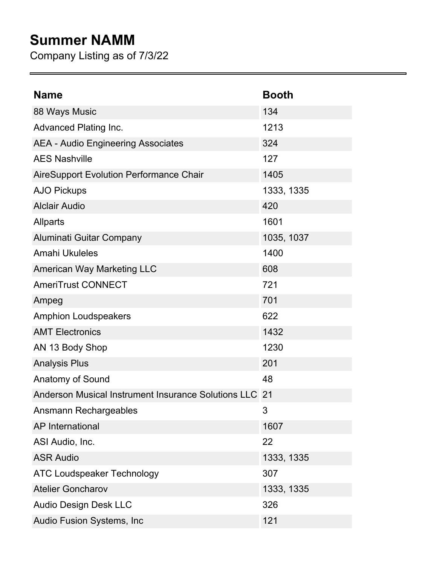## **Summer NAMM**

Company Listing as of 7/3/22

| <b>Name</b>                                            | <b>Booth</b> |
|--------------------------------------------------------|--------------|
| 88 Ways Music                                          | 134          |
| <b>Advanced Plating Inc.</b>                           | 1213         |
| <b>AEA - Audio Engineering Associates</b>              | 324          |
| <b>AES Nashville</b>                                   | 127          |
| <b>AireSupport Evolution Performance Chair</b>         | 1405         |
| <b>AJO Pickups</b>                                     | 1333, 1335   |
| <b>Alclair Audio</b>                                   | 420          |
| <b>Allparts</b>                                        | 1601         |
| Aluminati Guitar Company                               | 1035, 1037   |
| Amahi Ukuleles                                         | 1400         |
| <b>American Way Marketing LLC</b>                      | 608          |
| <b>AmeriTrust CONNECT</b>                              | 721          |
| Ampeg                                                  | 701          |
| <b>Amphion Loudspeakers</b>                            | 622          |
| <b>AMT Electronics</b>                                 | 1432         |
| AN 13 Body Shop                                        | 1230         |
| <b>Analysis Plus</b>                                   | 201          |
| <b>Anatomy of Sound</b>                                | 48           |
| Anderson Musical Instrument Insurance Solutions LLC 21 |              |
| Ansmann Rechargeables                                  | 3            |
| <b>AP</b> International                                | 1607         |
| ASI Audio, Inc.                                        | 22           |
| <b>ASR Audio</b>                                       | 1333, 1335   |
| <b>ATC Loudspeaker Technology</b>                      | 307          |
| <b>Atelier Goncharov</b>                               | 1333, 1335   |
| <b>Audio Design Desk LLC</b>                           | 326          |
| Audio Fusion Systems, Inc                              | 121          |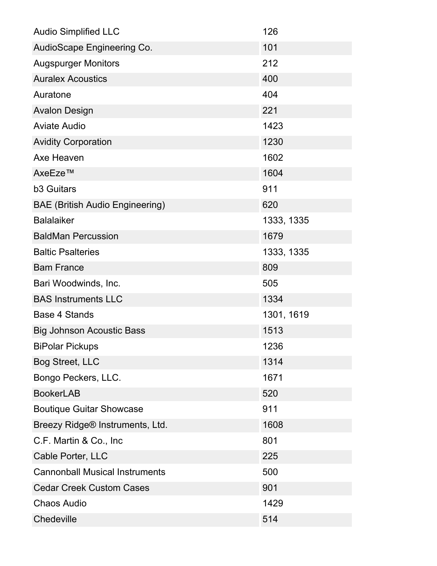| <b>Audio Simplified LLC</b>            | 126        |
|----------------------------------------|------------|
| AudioScape Engineering Co.             | 101        |
| <b>Augspurger Monitors</b>             | 212        |
| <b>Auralex Acoustics</b>               | 400        |
| Auratone                               | 404        |
| <b>Avalon Design</b>                   | 221        |
| <b>Aviate Audio</b>                    | 1423       |
| <b>Avidity Corporation</b>             | 1230       |
| Axe Heaven                             | 1602       |
| AxeEze™                                | 1604       |
| <b>b3 Guitars</b>                      | 911        |
| <b>BAE (British Audio Engineering)</b> | 620        |
| <b>Balalaiker</b>                      | 1333, 1335 |
| <b>BaldMan Percussion</b>              | 1679       |
| <b>Baltic Psalteries</b>               | 1333, 1335 |
| <b>Bam France</b>                      | 809        |
| Bari Woodwinds, Inc.                   | 505        |
| <b>BAS Instruments LLC</b>             | 1334       |
| <b>Base 4 Stands</b>                   | 1301, 1619 |
| <b>Big Johnson Acoustic Bass</b>       | 1513       |
| <b>BiPolar Pickups</b>                 | 1236       |
| <b>Bog Street, LLC</b>                 | 1314       |
| Bongo Peckers, LLC.                    | 1671       |
| <b>BookerLAB</b>                       | 520        |
| <b>Boutique Guitar Showcase</b>        | 911        |
| Breezy Ridge® Instruments, Ltd.        | 1608       |
| C.F. Martin & Co., Inc.                | 801        |
| Cable Porter, LLC                      | 225        |
| <b>Cannonball Musical Instruments</b>  | 500        |
| <b>Cedar Creek Custom Cases</b>        | 901        |
| <b>Chaos Audio</b>                     | 1429       |
| Chedeville                             | 514        |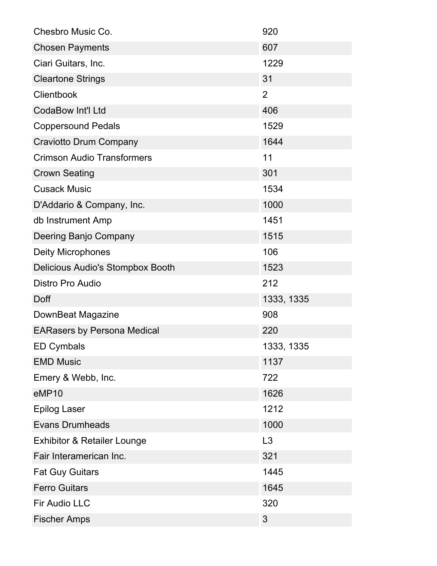| Chesbro Music Co.                      | 920            |
|----------------------------------------|----------------|
| <b>Chosen Payments</b>                 | 607            |
| Ciari Guitars, Inc.                    | 1229           |
| <b>Cleartone Strings</b>               | 31             |
| Clientbook                             | $\overline{2}$ |
| <b>CodaBow Int'l Ltd</b>               | 406            |
| <b>Coppersound Pedals</b>              | 1529           |
| <b>Craviotto Drum Company</b>          | 1644           |
| <b>Crimson Audio Transformers</b>      | 11             |
| <b>Crown Seating</b>                   | 301            |
| <b>Cusack Music</b>                    | 1534           |
| D'Addario & Company, Inc.              | 1000           |
| db Instrument Amp                      | 1451           |
| Deering Banjo Company                  | 1515           |
| <b>Deity Microphones</b>               | 106            |
| Delicious Audio's Stompbox Booth       | 1523           |
| <b>Distro Pro Audio</b>                | 212            |
| Doff                                   | 1333, 1335     |
| DownBeat Magazine                      | 908            |
| <b>EARasers by Persona Medical</b>     | 220            |
| <b>ED Cymbals</b>                      | 1333, 1335     |
| <b>EMD Music</b>                       | 1137           |
| Emery & Webb, Inc.                     | 722            |
| eMP10                                  | 1626           |
| <b>Epilog Laser</b>                    | 1212           |
| <b>Evans Drumheads</b>                 |                |
|                                        | 1000           |
| <b>Exhibitor &amp; Retailer Lounge</b> | L3             |
| Fair Interamerican Inc.                | 321            |
| <b>Fat Guy Guitars</b>                 | 1445           |
| <b>Ferro Guitars</b>                   | 1645           |
| <b>Fir Audio LLC</b>                   | 320            |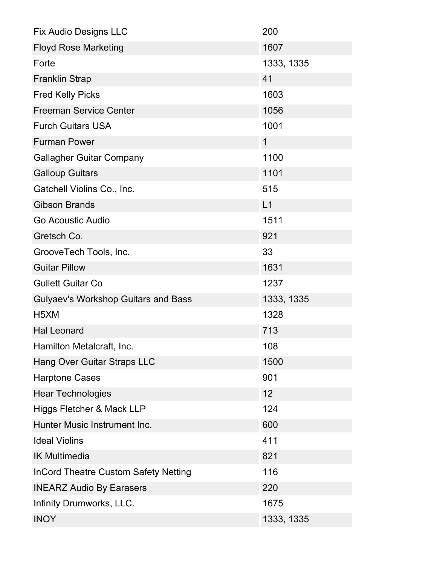| <b>Fix Audio Designs LLC</b>                | 200          |
|---------------------------------------------|--------------|
| <b>Floyd Rose Marketing</b>                 | 1607         |
| Forte                                       | 1333, 1335   |
| <b>Franklin Strap</b>                       | 41           |
| <b>Fred Kelly Picks</b>                     | 1603         |
| <b>Freeman Service Center</b>               | 1056         |
| <b>Furch Guitars USA</b>                    | 1001         |
| <b>Furman Power</b>                         | $\mathbf{1}$ |
| <b>Gallagher Guitar Company</b>             | 1100         |
| <b>Galloup Guitars</b>                      | 1101         |
| Gatchell Violins Co., Inc.                  | 515          |
| <b>Gibson Brands</b>                        | L1           |
| Go Acoustic Audio                           | 1511         |
| Gretsch Co.                                 | 921          |
| GrooveTech Tools, Inc.                      | 33           |
| <b>Guitar Pillow</b>                        | 1631         |
| <b>Gullett Guitar Co</b>                    | 1237         |
| <b>Gulyaev's Workshop Guitars and Bass</b>  | 1333, 1335   |
| H <sub>5</sub> XM                           | 1328         |
| <b>Hal Leonard</b>                          | 713          |
| Hamilton Metalcraft, Inc.                   | 108          |
| <b>Hang Over Guitar Straps LLC</b>          | 1500         |
| <b>Harptone Cases</b>                       | 901          |
| <b>Hear Technologies</b>                    | 12           |
| Higgs Fletcher & Mack LLP                   | 124          |
| Hunter Music Instrument Inc.                | 600          |
| <b>Ideal Violins</b>                        | 411          |
| <b>IK Multimedia</b>                        | 821          |
| <b>InCord Theatre Custom Safety Netting</b> | 116          |
| <b>INEARZ Audio By Earasers</b>             | 220          |
| Infinity Drumworks, LLC.                    | 1675         |
| <b>INOY</b>                                 | 1333, 1335   |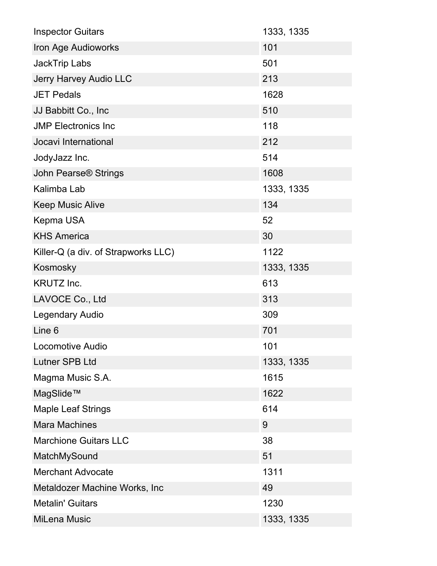| <b>Inspector Guitars</b>               | 1333, 1335 |
|----------------------------------------|------------|
| Iron Age Audioworks                    | 101        |
| <b>JackTrip Labs</b>                   | 501        |
| <b>Jerry Harvey Audio LLC</b>          | 213        |
| <b>JET Pedals</b>                      | 1628       |
| JJ Babbitt Co., Inc.                   | 510        |
| <b>JMP Electronics Inc</b>             | 118        |
| Jocavi International                   | 212        |
| JodyJazz Inc.                          | 514        |
| <b>John Pearse<sup>®</sup> Strings</b> | 1608       |
| Kalimba Lab                            | 1333, 1335 |
| <b>Keep Music Alive</b>                | 134        |
| Kepma USA                              | 52         |
| <b>KHS America</b>                     | 30         |
| Killer-Q (a div. of Strapworks LLC)    | 1122       |
| Kosmosky                               | 1333, 1335 |
| <b>KRUTZ Inc.</b>                      | 613        |
| LAVOCE Co., Ltd                        | 313        |
| <b>Legendary Audio</b>                 | 309        |
| Line 6                                 | 701        |
| <b>Locomotive Audio</b>                | 101        |
| <b>Lutner SPB Ltd</b>                  | 1333, 1335 |
| Magma Music S.A.                       | 1615       |
| MagSlide™                              | 1622       |
| <b>Maple Leaf Strings</b>              | 614        |
| <b>Mara Machines</b>                   | 9          |
| <b>Marchione Guitars LLC</b>           | 38         |
| MatchMySound                           | 51         |
| <b>Merchant Advocate</b>               | 1311       |
| Metaldozer Machine Works, Inc          | 49         |
| <b>Metalin' Guitars</b>                | 1230       |
| <b>MiLena Music</b>                    | 1333, 1335 |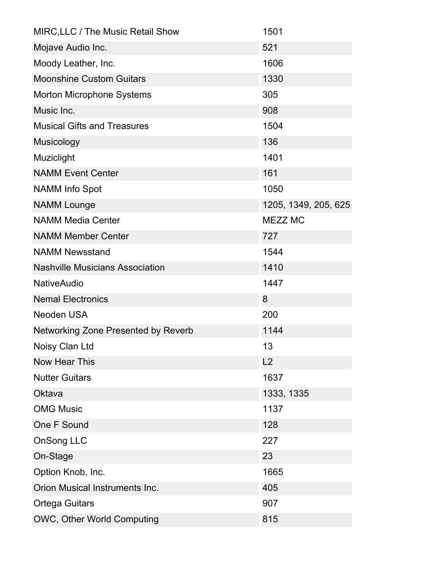| MIRC, LLC / The Music Retail Show          | 1501                 |
|--------------------------------------------|----------------------|
| Mojave Audio Inc.                          | 521                  |
| Moody Leather, Inc.                        | 1606                 |
| <b>Moonshine Custom Guitars</b>            | 1330                 |
| <b>Morton Microphone Systems</b>           | 305                  |
| Music Inc.                                 | 908                  |
| <b>Musical Gifts and Treasures</b>         | 1504                 |
| <b>Musicology</b>                          | 136                  |
| Muziclight                                 | 1401                 |
| <b>NAMM Event Center</b>                   | 161                  |
| <b>NAMM Info Spot</b>                      | 1050                 |
| <b>NAMM Lounge</b>                         | 1205, 1349, 205, 625 |
| <b>NAMM Media Center</b>                   | MEZZ MC              |
| <b>NAMM Member Center</b>                  | 727                  |
| <b>NAMM Newsstand</b>                      | 1544                 |
| <b>Nashville Musicians Association</b>     | 1410                 |
| <b>NativeAudio</b>                         | 1447                 |
| <b>Nemal Electronics</b>                   | 8                    |
| <b>Neoden USA</b>                          | 200                  |
| <b>Networking Zone Presented by Reverb</b> | 1144                 |
| Noisy Clan Ltd                             | 13                   |
| <b>Now Hear This</b>                       | L2                   |
| <b>Nutter Guitars</b>                      | 1637                 |
| Oktava                                     | 1333, 1335           |
| <b>OMG Music</b>                           | 1137                 |
| One F Sound                                | 128                  |
| <b>OnSong LLC</b>                          | 227                  |
| On-Stage                                   | 23                   |
| Option Knob, Inc.                          | 1665                 |
| Orion Musical Instruments Inc.             | 405                  |
| <b>Ortega Guitars</b>                      | 907                  |
| OWC, Other World Computing                 | 815                  |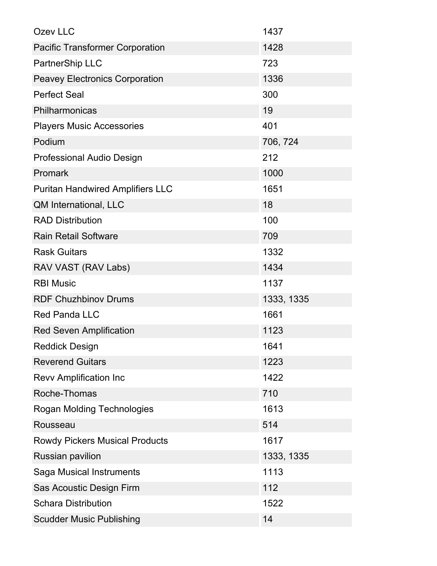| Ozev LLC                                | 1437       |
|-----------------------------------------|------------|
| <b>Pacific Transformer Corporation</b>  | 1428       |
| PartnerShip LLC                         | 723        |
| <b>Peavey Electronics Corporation</b>   | 1336       |
| <b>Perfect Seal</b>                     | 300        |
| Philharmonicas                          | 19         |
| <b>Players Music Accessories</b>        | 401        |
| Podium                                  | 706, 724   |
| <b>Professional Audio Design</b>        | 212        |
| Promark                                 | 1000       |
| <b>Puritan Handwired Amplifiers LLC</b> | 1651       |
| QM International, LLC                   | 18         |
| <b>RAD Distribution</b>                 | 100        |
| <b>Rain Retail Software</b>             | 709        |
| <b>Rask Guitars</b>                     | 1332       |
| RAV VAST (RAV Labs)                     | 1434       |
| <b>RBI Music</b>                        | 1137       |
| <b>RDF Chuzhbinov Drums</b>             | 1333, 1335 |
| <b>Red Panda LLC</b>                    | 1661       |
| <b>Red Seven Amplification</b>          | 1123       |
| <b>Reddick Design</b>                   | 1641       |
| <b>Reverend Guitars</b>                 | 1223       |
| <b>Revv Amplification Inc</b>           | 1422       |
| Roche-Thomas                            | 710        |
| <b>Rogan Molding Technologies</b>       | 1613       |
| Rousseau                                | 514        |
| <b>Rowdy Pickers Musical Products</b>   | 1617       |
| <b>Russian pavilion</b>                 | 1333, 1335 |
| Saga Musical Instruments                | 1113       |
| Sas Acoustic Design Firm                | 112        |
| <b>Schara Distribution</b>              | 1522       |
| <b>Scudder Music Publishing</b>         | 14         |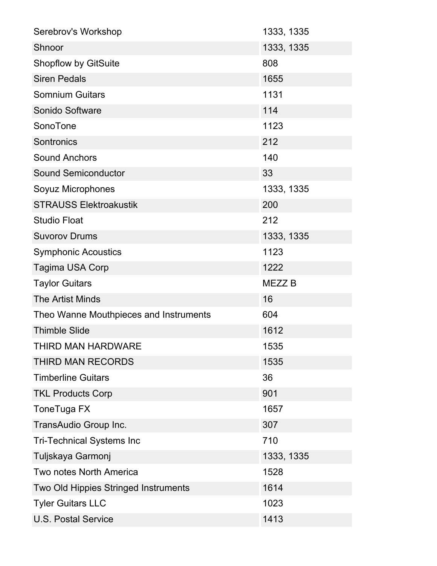| Serebrov's Workshop                    | 1333, 1335        |
|----------------------------------------|-------------------|
| Shnoor                                 | 1333, 1335        |
| <b>Shopflow by GitSuite</b>            | 808               |
| <b>Siren Pedals</b>                    | 1655              |
| <b>Somnium Guitars</b>                 | 1131              |
| Sonido Software                        | 114               |
| SonoTone                               | 1123              |
| Sontronics                             | 212               |
| <b>Sound Anchors</b>                   | 140               |
| <b>Sound Semiconductor</b>             | 33                |
| Soyuz Microphones                      | 1333, 1335        |
| <b>STRAUSS Elektroakustik</b>          | 200               |
| <b>Studio Float</b>                    | 212               |
| <b>Suvorov Drums</b>                   | 1333, 1335        |
| <b>Symphonic Acoustics</b>             | 1123              |
| <b>Tagima USA Corp</b>                 | 1222              |
|                                        |                   |
| <b>Taylor Guitars</b>                  | MEZZ <sub>B</sub> |
| <b>The Artist Minds</b>                | 16                |
| Theo Wanne Mouthpieces and Instruments | 604               |
| <b>Thimble Slide</b>                   | 1612              |
| THIRD MAN HARDWARE                     | 1535              |
| THIRD MAN RECORDS                      | 1535              |
| <b>Timberline Guitars</b>              | 36                |
| <b>TKL Products Corp</b>               | 901               |
| ToneTuga FX                            | 1657              |
| TransAudio Group Inc.                  | 307               |
| <b>Tri-Technical Systems Inc</b>       | 710               |
| Tuljskaya Garmonj                      | 1333, 1335        |
| <b>Two notes North America</b>         | 1528              |
| Two Old Hippies Stringed Instruments   | 1614              |
| <b>Tyler Guitars LLC</b>               | 1023              |